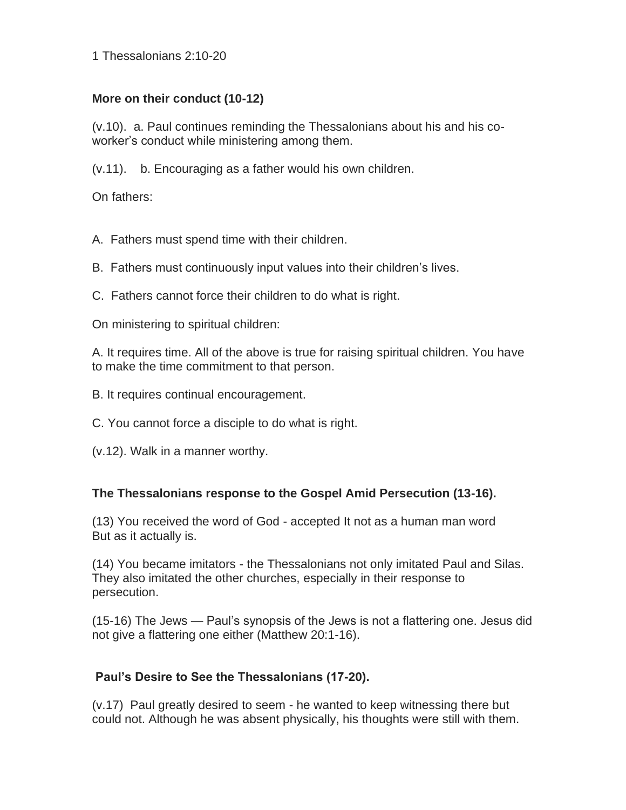1 Thessalonians 2:10-20

## **More on their conduct (10-12)**

(v.10). a. Paul continues reminding the Thessalonians about his and his coworker's conduct while ministering among them.

(v.11). b. Encouraging as a father would his own children.

On fathers:

A. Fathers must spend time with their children.

B. Fathers must continuously input values into their children's lives.

C. Fathers cannot force their children to do what is right.

On ministering to spiritual children:

A. It requires time. All of the above is true for raising spiritual children. You have to make the time commitment to that person.

- B. It requires continual encouragement.
- C. You cannot force a disciple to do what is right.
- (v.12). Walk in a manner worthy.

## **The Thessalonians response to the Gospel Amid Persecution (13-16).**

(13) You received the word of God - accepted It not as a human man word But as it actually is.

(14) You became imitators - the Thessalonians not only imitated Paul and Silas. They also imitated the other churches, especially in their response to persecution.

(15-16) The Jews — Paul's synopsis of the Jews is not a flattering one. Jesus did not give a flattering one either (Matthew 20:1-16).

## **Paul's Desire to See the Thessalonians (17-20).**

(v.17) Paul greatly desired to seem - he wanted to keep witnessing there but could not. Although he was absent physically, his thoughts were still with them.